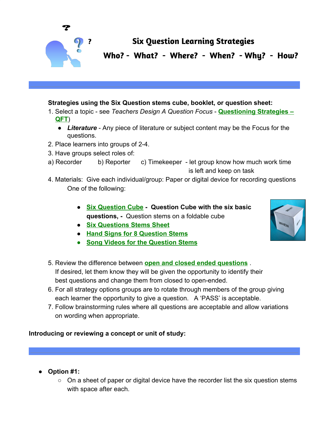

# **? Six Question Learning Strategies**

**Who? - What? - Where? - When? - Why? - How?**

## **Strategies using the Six Question stems cube, booklet, or question sheet:**

- 1. Select a topic see *Teachers Design A Question Focus* **[Questioning Strategies –](http://www.greatexpectations.org/Websites/greatexpectations/images/pdf/practices/respect/QFT%20process%20explanation.pdf) [QFT](http://www.greatexpectations.org/Websites/greatexpectations/images/pdf/practices/respect/QFT%20process%20explanation.pdf)**)
	- Literature Any piece of literature or subject content may be the Focus for the questions.
- 2. Place learners into groups of 2-4.
- 3. Have groups select roles of:
- a) Recorder b) Reporter c) Timekeeper let group know how much work time is left and keep on task
- 4. Materials: Give each individual/group: Paper or digital device for recording questions One of the following:
	- **[Six Question Cube](http://www.greatexpectations.org/Websites/greatexpectations/images/pdf/practice5/Six%20Question%20Cube%20Master%20Final.pdf) Question Cube with the six basic questions, -** Question stems on a foldable cube
	- **[Six Questions Stems Sheet](http://www.greatexpectations.org/Websites/greatexpectations/images/pdf/practice5/Six%20Questions%20Stems%20Sheet.pdf)**
	- **● [Hand Signs for 8 Question Stems](http://www.greatexpectations.org/Websites/greatexpectations/images/pdf/practice5/Sign%20Language%20for%20Question%20Stems.pdf)**
	- **[Song Videos for the Question Stems](http://www.greatexpectations.org/Websites/greatexpectations/images/pdf/practice5/Music%20Videos%20for%20Practice%205%20and%20Question%20Stems%20Songs.pdf)**
- 5. Review the difference between **[open and closed ended questions](http://www.greatexpectations.org/questioning)** . If desired, let them know they will be given the opportunity to identify their best questions and change them from closed to open-ended.
- 6. For all strategy options groups are to rotate through members of the group giving each learner the opportunity to give a question. A 'PASS' is acceptable.
- 7. Follow brainstorming rules where all questions are acceptable and allow variations on wording when appropriate.

## **Introducing or reviewing a concept or unit of study:**

- **● Option #1:**
	- On a sheet of paper or digital device have the recorder list the six question stems with space after each.

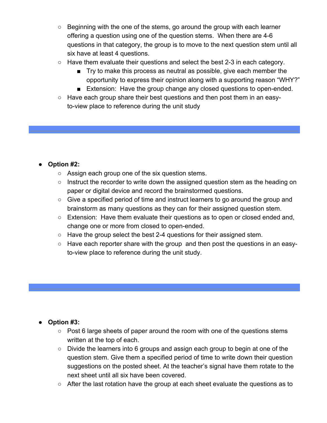- Beginning with the one of the stems, go around the group with each learner offering a question using one of the question stems. When there are 4-6 questions in that category, the group is to move to the next question stem until all six have at least 4 questions.
- $\circ$  Have them evaluate their questions and select the best 2-3 in each category.
	- Try to make this process as neutral as possible, give each member the opportunity to express their opinion along with a supporting reason "WHY?"
	- Extension: Have the group change any closed questions to open-ended.
- Have each group share their best questions and then post them in an easyto-view place to reference during the unit study

## **● Option #2:**

- Assign each group one of the six question stems.
- Instruct the recorder to write down the assigned question stem as the heading on paper or digital device and record the brainstormed questions.
- Give a specified period of time and instruct learners to go around the group and brainstorm as many questions as they can for their assigned question stem.
- Extension: Have them evaluate their questions as to open or closed ended and, change one or more from closed to open-ended.
- Have the group select the best 2-4 questions for their assigned stem.
- Have each reporter share with the group and then post the questions in an easyto-view place to reference during the unit study.

## **● Option #3:**

- $\circ$  Post 6 large sheets of paper around the room with one of the questions stems written at the top of each.
- Divide the learners into 6 groups and assign each group to begin at one of the question stem. Give them a specified period of time to write down their question suggestions on the posted sheet. At the teacher's signal have them rotate to the next sheet until all six have been covered.
- After the last rotation have the group at each sheet evaluate the questions as to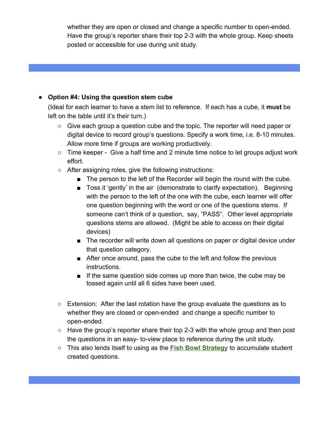whether they are open or closed and change a specific number to open-ended. Have the group's reporter share their top 2-3 with the whole group. Keep sheets posted or accessible for use during unit study.

## **● Option #4: Using the question stem cube**

(Ideal for each learner to have a stem list to reference. If each has a cube, it **must** be left on the table until it's their turn.)

- Give each group a question cube and the topic. The reporter will need paper or digital device to record group's questions. Specify a work time, i.e. 8-10 minutes. Allow more time if groups are working productively.
- Time keeper Give a half time and 2 minute time notice to let groups adjust work effort.
- After assigning roles, give the following instructions:
	- The person to the left of the Recorder will begin the round with the cube.
	- Toss it 'gently' in the air (demonstrate to clarify expectation). Beginning with the person to the left of the one with the cube, each learner will offer one question beginning with the word or one of the questions stems. If someone can't think of a question, say, "PASS". Other level appropriate questions stems are allowed. (Might be able to access on their digital devices)
	- The recorder will write down all questions on paper or digital device under that question category.
	- After once around, pass the cube to the left and follow the previous instructions.
	- If the same question side comes up more than twice, the cube may be tossed again until all 6 sides have been used.
- Extension: After the last rotation have the group evaluate the questions as to whether they are closed or open-ended and change a specific number to open-ended.
- $\circ$  Have the group's reporter share their top 2-3 with the whole group and then post the questions in an easy- to-view place to reference during the unit study.
- This also lends itself to using as the **[Fish Bowl Strategy](http://www.greatexpectations.org/Websites/greatexpectations/images/pdf/lp/problem%20solving/Fish%20Bowl%20Introduction.pdf)** to accumulate student created questions.